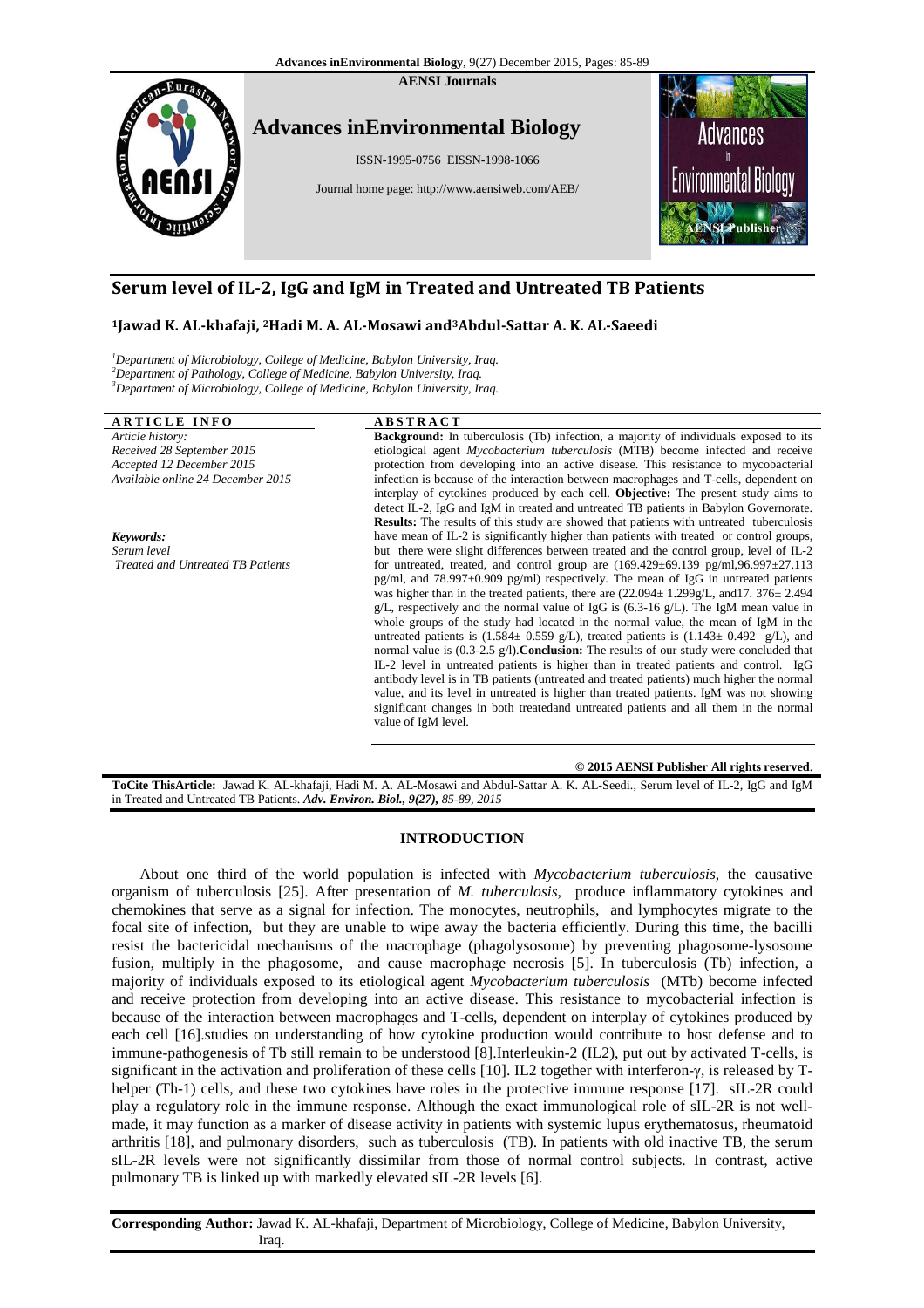

# **Serum level of IL-2, IgG and IgM in 2, Treated and Untreated TB Patients**

# **<sup>1</sup>Jawad K. AL-khafaji, 2Hadi M. A. AL AL-Mosawi and3Abdul-Sattar A. K. AL-Saeedi**

<sup>1</sup>Department of Microbiology, College of Medicine, Babylon University, Iraq. <sup>2</sup>Department of Pathology, College of Medicine, Babylon University, Iraq. <sup>3</sup>Department of Microbiology, College of Medicine, Babylon University, Iraq.

# **ARTICLE INFO**

# **A B S T R A C T**

*Article history: Received 28 September 2015 Accepted 12 December 2015 Available online 24 December 2015 Keywords: Serum level Treated and Untreated TB Patients*  **Background:** In tuberculosis (Tb) infection, a majority of individuals exposed to its etiological agent *Mycobacterium tuberculosis* (MTB) become infected and receive protection from developing into an active disease. This resistance to mycobacterial infection is because of the interaction between macrophages and T-cells, dependent on interplay of cytokines produced by each cell. Objective: The present study aims to detect IL-2, IgG and IgM in treated and untreated TB patients in Babylon Governorate. **Results:** The results of this study are showed that patients with untreated tuberculosis have mean of IL-2 is significantly higher than patients with treated or control groups, but there were slight differences between treated and the control group, level of IL-2 for untreated, treated, and control group are  $(169.429 \pm 69.139 \text{ pg/ml}, 96.997 \pm 27.113$ pg/ml, and 78.997±0.909 pg/ml) respectively. The mean of IgG in untreated patients was higher than in the treated patients, there are  $(22.094 \pm 1.299 \text{ g/L}, \text{and} 17.376 \pm 2.494$ g/L, respectively and the normal value of IgG is (6.3-16 g/L). The IgM mean value in whole groups of the study had located in the normal value, the mean of IgM in the untreated patients is  $(1.584 \pm 0.559 \text{ g/L})$ , treated patients is  $(1.143 \pm 0.492 \text{ g/L})$ , and normal value is (0.3-2.5 g/l).**Conclusion:** The results of our study were concluded that IL-2 level in untreated patients is higher than in treated patients and control. IgG antibody level is in TB patients (untreated and treated patients) much higher the normal value, and its level in untreated is higher than treated patients. IgM was not showing significant changes in both treatedand untreated patients and all them in the normal value of IgM level. 22.094± 1.299g/L, and 17.  $376\pm 2.494$  (6.3-16 g/L). The IgM mean value in ormal value, the mean of IgM in the patients is  $(1.143\pm 0.492 \text{ g/L})$ , and ults of our study were concluded that in treated patients and control

**© 2015 AENSI Publisher All rights reserved**

ToCite ThisArticle: Jawad K. AL-khafaji, Hadi M. A. AL-Mosawi and Abdul-Sattar A. K. AL-Seedi., Serum level of IL-2, IgG and IgM in Treated and Untreated TB Patients. *Adv. Environ. Biol., 9( 9(27), 85-89, 2015*

# **INTRODUCTION**

About one third of the world population is infected with *Mycobacterium tuberculosis* , the causative organism of tuberculosis [25]. After presentation of *M. tuberculosis*, produce inflammatory cytokines and chemokines that serve as a signal for infection. The monocytes, neutrophils, and lymphocytes migrate to the focal site of infection, but they are unable to wipe away the bacteria efficiently. During this time, the bacilli resist the bactericidal mechanisms of the macrophage (phagolysosome) by preventing phagosome-lysosome fusion, multiply in the phagosome, and cause macrophage necrosis [5]. In tuberculosis (Tb) infection, a majority of individuals exposed to its etiological agent *Mycobacterium tuberculosis* (MTb) become infected and receive protection from developing into an active disease. This resistance to mycobacterial infection is because of the interaction between macrophages and T T-cells, dependent on interplay of cytokines produced by each cell [16].studies on understanding of how cytokine production would contribute to host defense and to each cell [16] studies on understanding of how cytokine production would contribute to host defense and to<br>immune-pathogenesis of Tb still remain to be understood [8] Interleukin-2 (IL2), put out by activated T-cells, is significant in the activation and proliferation of these cells [10]. IL2 together with interferon-γ, is released by Thelper (Th-1) cells, and these two cytokines have roles in the protective immune response [17]. sIL-2R could play a regulatory role in the immune response. Although the exact immunological role of sIL-2R is not wellplay a regulatory role in the immune response. Although the exact immunological role of sIL-2R is not wellmade, it may function as a marker of disease activity in patients with systemic lupus erythematosus, rheumatoid arthritis [18], and pulmonary disorders, such as tuberculosis (TB). In patients with old inactive TB, the serum sIL-2R levels were not significantly dissimilar from those of normal control subjects. In contrast, active sIL-2R levels were not significantly dissimilar from those of non-<br>pulmonary TB is linked up with markedly elevated sIL-2R levels [6]. eriodipleal agent Myodonterion independent in the<br>charge in a general and section and the stational method and the method and the<br>station incredible station is because the interaction between macrophage and Techls, depend

Corresponding Author: Jawad K. AL-khafaji, Department of Microbiology, College of Medicine, Babylon University, Iraq.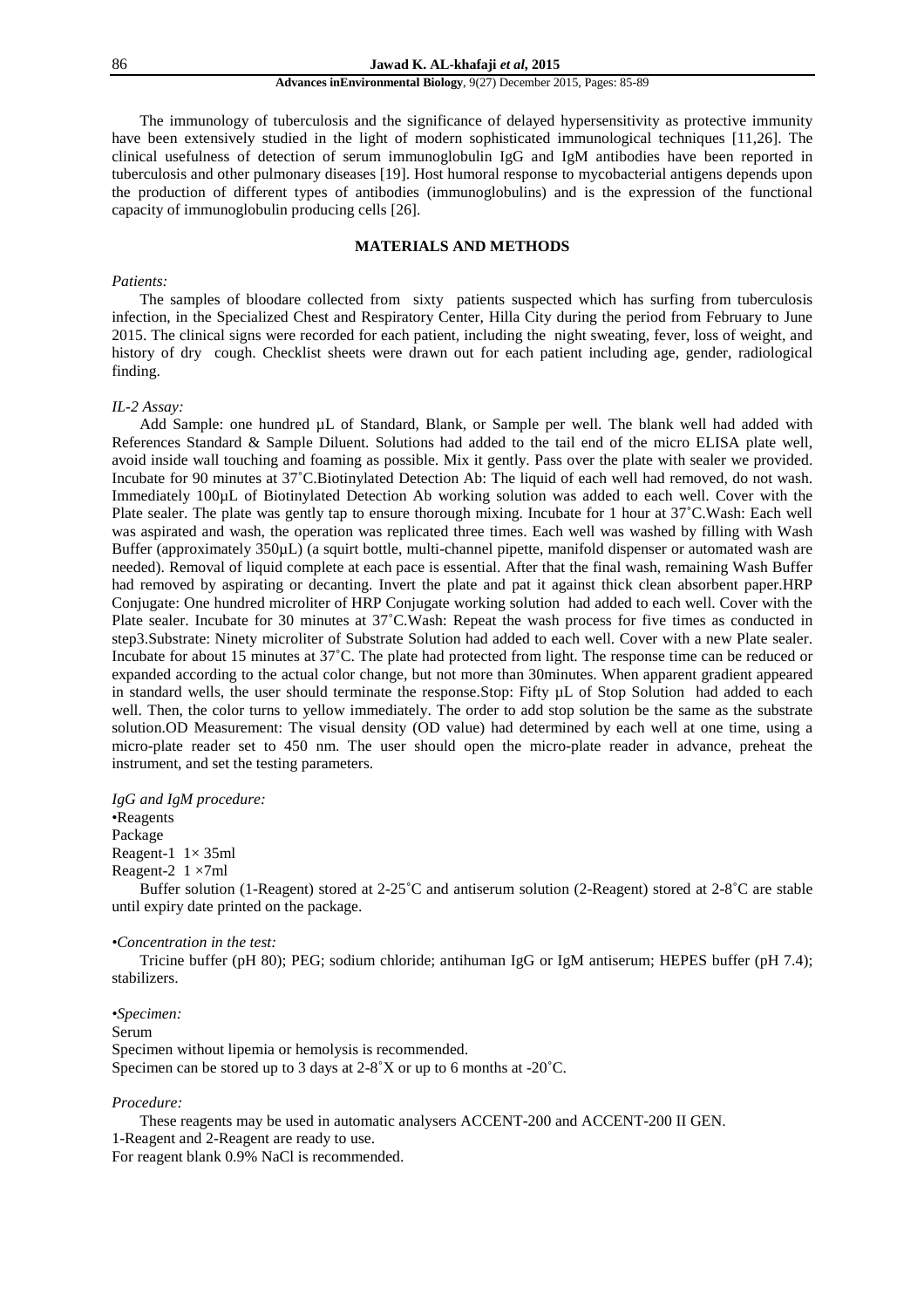#### **Advances inEnvironmental Biology**, 9(27) December 2015, Pages: 85-89

 The immunology of tuberculosis and the significance of delayed hypersensitivity as protective immunity have been extensively studied in the light of modern sophisticated immunological techniques [11,26]. The clinical usefulness of detection of serum immunoglobulin IgG and IgM antibodies have been reported in tuberculosis and other pulmonary diseases [19]. Host humoral response to mycobacterial antigens depends upon the production of different types of antibodies (immunoglobulins) and is the expression of the functional capacity of immunoglobulin producing cells [26].

# **MATERIALS AND METHODS**

#### *Patients:*

 The samples of bloodare collected from sixty patients suspected which has surfing from tuberculosis infection, in the Specialized Chest and Respiratory Center, Hilla City during the period from February to June 2015. The clinical signs were recorded for each patient, including the night sweating, fever, loss of weight, and history of dry cough. Checklist sheets were drawn out for each patient including age, gender, radiological finding.

### *IL-2 Assay:*

Add Sample: one hundred µL of Standard, Blank, or Sample per well. The blank well had added with References Standard & Sample Diluent. Solutions had added to the tail end of the micro ELISA plate well, avoid inside wall touching and foaming as possible. Mix it gently. Pass over the plate with sealer we provided. Incubate for 90 minutes at 37˚C.Biotinylated Detection Ab: The liquid of each well had removed, do not wash. Immediately 100µL of Biotinylated Detection Ab working solution was added to each well. Cover with the Plate sealer. The plate was gently tap to ensure thorough mixing. Incubate for 1 hour at 37˚C.Wash: Each well was aspirated and wash, the operation was replicated three times. Each well was washed by filling with Wash Buffer (approximately 350µL) (a squirt bottle, multi-channel pipette, manifold dispenser or automated wash are needed). Removal of liquid complete at each pace is essential. After that the final wash, remaining Wash Buffer had removed by aspirating or decanting. Invert the plate and pat it against thick clean absorbent paper.HRP Conjugate: One hundred microliter of HRP Conjugate working solution had added to each well. Cover with the Plate sealer. Incubate for 30 minutes at 37°C. Wash: Repeat the wash process for five times as conducted in step3.Substrate: Ninety microliter of Substrate Solution had added to each well. Cover with a new Plate sealer. Incubate for about 15 minutes at 37˚C. The plate had protected from light. The response time can be reduced or expanded according to the actual color change, but not more than 30minutes. When apparent gradient appeared in standard wells, the user should terminate the response.Stop: Fifty µL of Stop Solution had added to each well. Then, the color turns to yellow immediately. The order to add stop solution be the same as the substrate solution.OD Measurement: The visual density (OD value) had determined by each well at one time, using a micro-plate reader set to 450 nm. The user should open the micro-plate reader in advance, preheat the instrument, and set the testing parameters.

*IgG and IgM procedure:* 

•Reagents Package Reagent-1  $1 \times 35$ ml Reagent-2  $1 \times 7$ ml

 Buffer solution (1-Reagent) stored at 2-25˚C and antiserum solution (2-Reagent) stored at 2-8˚C are stable until expiry date printed on the package.

# *•Concentration in the test:*

 Tricine buffer (pH 80); PEG; sodium chloride; antihuman IgG or IgM antiserum; HEPES buffer (pH 7.4); stabilizers.

*•Specimen:*  Serum Specimen without lipemia or hemolysis is recommended. Specimen can be stored up to 3 days at 2-8˚X or up to 6 months at -20˚C.

#### *Procedure:*

 These reagents may be used in automatic analysers ACCENT-200 and ACCENT-200 II GEN. 1-Reagent and 2-Reagent are ready to use. For reagent blank 0.9% NaCl is recommended.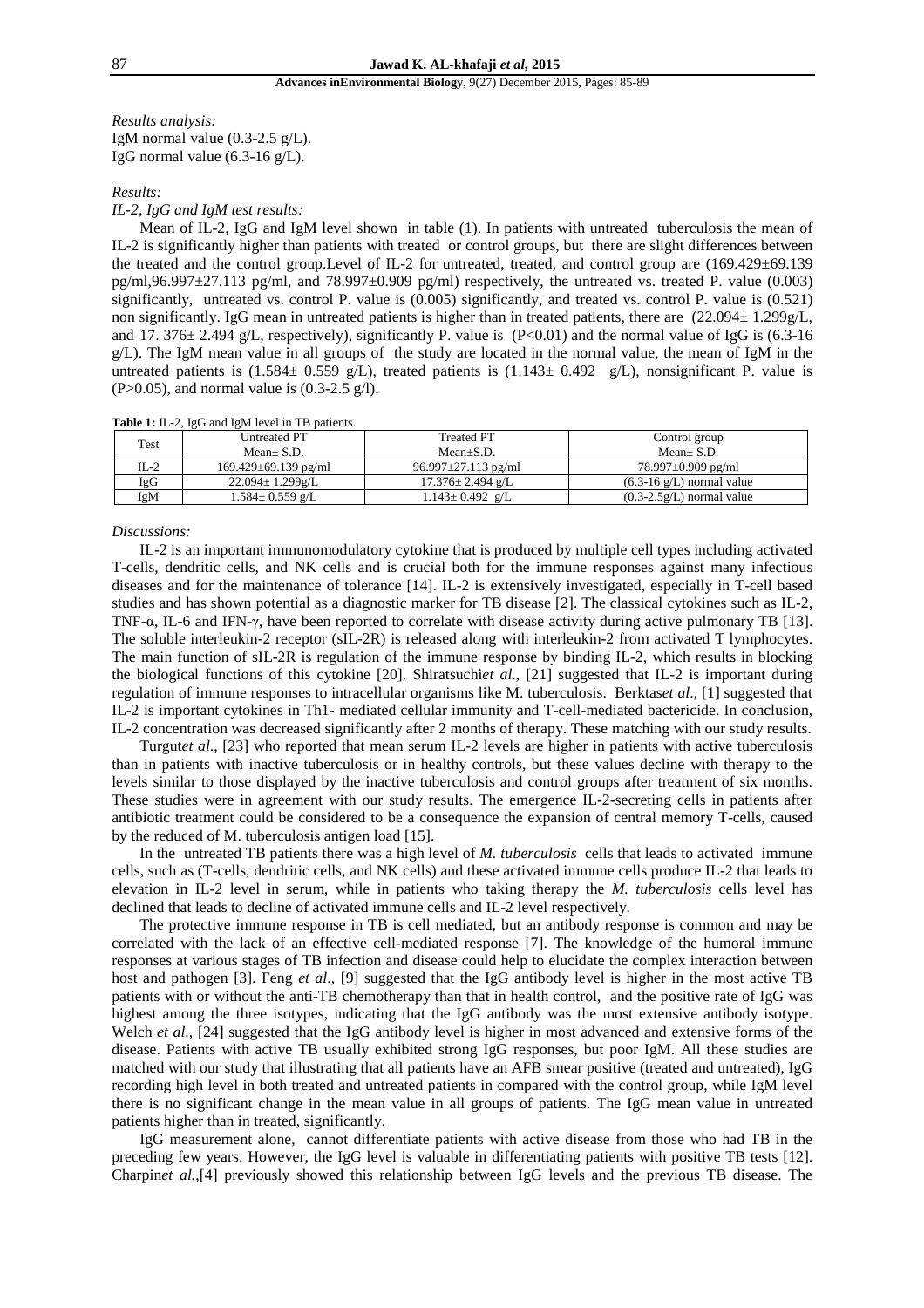### **Advances inEnvironmental Biology**, 9(27) December 2015, Pages: 85-89

*Results analysis:*  IgM normal value  $(0.3-2.5 \text{ g/L})$ . IgG normal value  $(6.3\n-16 \text{ g/L})$ .

# *Results:*

# *IL-2, IgG and IgM test results:*

 Mean of IL-2, IgG and IgM level shown in table (1). In patients with untreated tuberculosis the mean of IL-2 is significantly higher than patients with treated or control groups, but there are slight differences between the treated and the control group.Level of IL-2 for untreated, treated, and control group are (169.429±69.139  $pg/ml,96.997±27.113$  pg/ml, and  $78.997±0.909$  pg/ml) respectively, the untreated vs. treated P. value (0.003) significantly, untreated vs. control P. value is  $(0.005)$  significantly, and treated vs. control P. value is  $(0.521)$ non significantly. IgG mean in untreated patients is higher than in treated patients, there are (22.094± 1.299g/L, and 17. 376 $\pm$  2.494 g/L, respectively), significantly P. value is (P<0.01) and the normal value of IgG is (6.3-16  $g/L$ ). The IgM mean value in all groups of the study are located in the normal value, the mean of IgM in the untreated patients is (1.584 $\pm$  0.559 g/L), treated patients is (1.143 $\pm$  0.492 g/L), nonsignificant P. value is  $(P>0.05)$ , and normal value is  $(0.3-2.5 \text{ g/l})$ .

|  |  |  | Table 1: IL-2, IgG and IgM level in TB patients. |
|--|--|--|--------------------------------------------------|
|--|--|--|--------------------------------------------------|

| Test | Untreated PT               | <b>Treated PT</b>         | Control group                         |
|------|----------------------------|---------------------------|---------------------------------------|
|      | $Mean + S.D.$              | $Mean+S.D.$               | $Mean + S.D.$                         |
| IL-2 | $169.429 \pm 69.139$ pg/ml | $96.997 \pm 27.113$ pg/ml | $78.997 \pm 0.909$ pg/ml              |
| IgG  | $22.094 \pm 1.299$ g/L     | $17.376 \pm 2.494$ g/L    | $(6.3\n-16 \text{ g/L})$ normal value |
| IgM  | $1.584 \pm 0.559$ g/L      | $1.143 \pm 0.492$ g/L     | $(0.3-2.5g/L)$ normal value           |

#### *Discussions:*

 IL-2 is an important immunomodulatory cytokine that is produced by multiple cell types including activated T-cells, dendritic cells, and NK cells and is crucial both for the immune responses against many infectious diseases and for the maintenance of tolerance [14]. IL-2 is extensively investigated, especially in T-cell based studies and has shown potential as a diagnostic marker for TB disease [2]. The classical cytokines such as IL-2, TNF-α, IL-6 and IFN-γ, have been reported to correlate with disease activity during active pulmonary TB [13]. The soluble interleukin-2 receptor (sIL-2R) is released along with interleukin-2 from activated T lymphocytes. The main function of sIL-2R is regulation of the immune response by binding IL-2, which results in blocking the biological functions of this cytokine [20]. Shiratsuchi*et al*., [21] suggested that IL-2 is important during regulation of immune responses to intracellular organisms like M. tuberculosis. Berktas*et al*., [1] suggested that IL-2 is important cytokines in Th1- mediated cellular immunity and T-cell-mediated bactericide. In conclusion, IL-2 concentration was decreased significantly after 2 months of therapy. These matching with our study results.

 Turgut*et al*., [23] who reported that mean serum IL-2 levels are higher in patients with active tuberculosis than in patients with inactive tuberculosis or in healthy controls, but these values decline with therapy to the levels similar to those displayed by the inactive tuberculosis and control groups after treatment of six months. These studies were in agreement with our study results. The emergence IL-2-secreting cells in patients after antibiotic treatment could be considered to be a consequence the expansion of central memory T-cells, caused by the reduced of M. tuberculosis antigen load [15].

 In the untreated TB patients there was a high level of *M. tuberculosis* cells that leads to activated immune cells, such as (T-cells, dendritic cells, and NK cells) and these activated immune cells produce IL-2 that leads to elevation in IL-2 level in serum, while in patients who taking therapy the *M. tuberculosis* cells level has declined that leads to decline of activated immune cells and IL-2 level respectively.

 The protective immune response in TB is cell mediated, but an antibody response is common and may be correlated with the lack of an effective cell-mediated response [7]. The knowledge of the humoral immune responses at various stages of TB infection and disease could help to elucidate the complex interaction between host and pathogen [3]. Feng *et al*., [9] suggested that the IgG antibody level is higher in the most active TB patients with or without the anti-TB chemotherapy than that in health control, and the positive rate of IgG was highest among the three isotypes, indicating that the IgG antibody was the most extensive antibody isotype. Welch *et al.*, [24] suggested that the IgG antibody level is higher in most advanced and extensive forms of the disease. Patients with active TB usually exhibited strong IgG responses, but poor IgM. All these studies are matched with our study that illustrating that all patients have an AFB smear positive (treated and untreated), IgG recording high level in both treated and untreated patients in compared with the control group, while IgM level there is no significant change in the mean value in all groups of patients. The IgG mean value in untreated patients higher than in treated, significantly.

 IgG measurement alone, cannot differentiate patients with active disease from those who had TB in the preceding few years. However, the IgG level is valuable in differentiating patients with positive TB tests [12]. Charpin*et al.,*[4] previously showed this relationship between IgG levels and the previous TB disease. The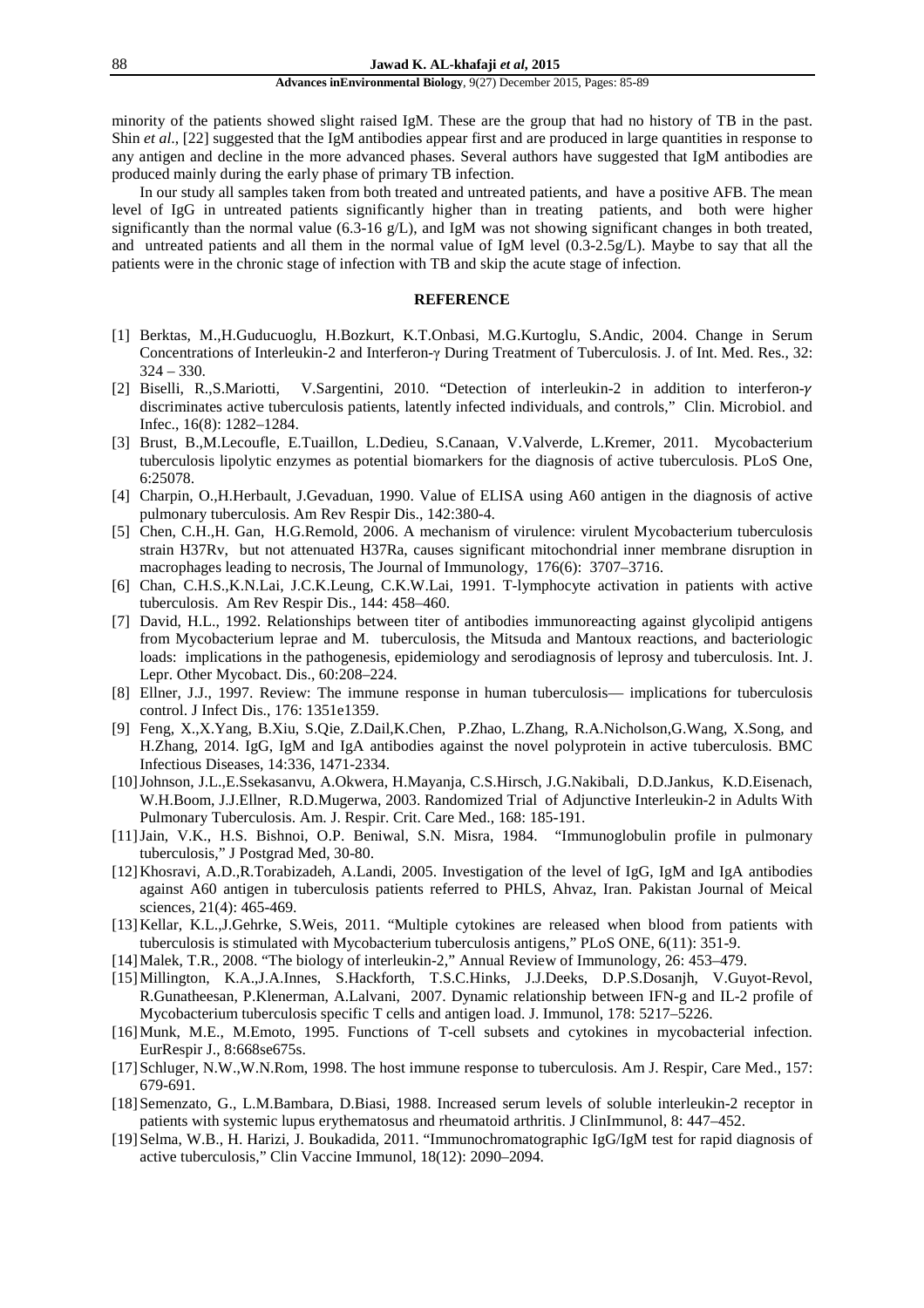#### **Advances inEnvironmental Biology**, 9(27) December 2015, Pages: 85-89

minority of the patients showed slight raised IgM. These are the group that had no history of TB in the past. Shin *et al*., [22] suggested that the IgM antibodies appear first and are produced in large quantities in response to any antigen and decline in the more advanced phases. Several authors have suggested that IgM antibodies are produced mainly during the early phase of primary TB infection.

 In our study all samples taken from both treated and untreated patients, and have a positive AFB. The mean level of IgG in untreated patients significantly higher than in treating patients, and both were higher significantly than the normal value (6.3-16 g/L), and IgM was not showing significant changes in both treated, and untreated patients and all them in the normal value of IgM level (0.3-2.5g/L). Maybe to say that all the patients were in the chronic stage of infection with TB and skip the acute stage of infection.

### **REFERENCE**

- [1] Berktas, M.,H.Guducuoglu, H.Bozkurt, K.T.Onbasi, M.G.Kurtoglu, S.Andic, 2004. Change in Serum Concentrations of Interleukin-2 and Interferon-γ During Treatment of Tuberculosis. J. of Int. Med. Res., 32:  $324 - 330.$
- [2] Biselli, R.,S.Mariotti, V.Sargentini, 2010. "Detection of interleukin-2 in addition to interferon discriminates active tuberculosis patients, latently infected individuals, and controls," Clin. Microbiol. and Infec., 16(8): 1282–1284.
- [3] Brust, B.,M.Lecoufle, E.Tuaillon, L.Dedieu, S.Canaan, V.Valverde, L.Kremer, 2011. Mycobacterium tuberculosis lipolytic enzymes as potential biomarkers for the diagnosis of active tuberculosis. PLoS One, 6:25078.
- [4] Charpin, O.,H.Herbault, J.Gevaduan, 1990. Value of ELISA using A60 antigen in the diagnosis of active pulmonary tuberculosis. Am Rev Respir Dis., 142:380-4.
- [5] Chen, C.H.,H. Gan, H.G.Remold, 2006. A mechanism of virulence: virulent Mycobacterium tuberculosis strain H37Rv, but not attenuated H37Ra, causes significant mitochondrial inner membrane disruption in macrophages leading to necrosis, The Journal of Immunology, 176(6): 3707–3716.
- [6] Chan, C.H.S.,K.N.Lai, J.C.K.Leung, C.K.W.Lai, 1991. T-lymphocyte activation in patients with active tuberculosis. Am Rev Respir Dis., 144: 458–460.
- [7] David, H.L., 1992. Relationships between titer of antibodies immunoreacting against glycolipid antigens from Mycobacterium leprae and M. tuberculosis, the Mitsuda and Mantoux reactions, and bacteriologic loads: implications in the pathogenesis, epidemiology and serodiagnosis of leprosy and tuberculosis. Int. J. Lepr. Other Mycobact. Dis., 60:208–224.
- [8] Ellner, J.J., 1997. Review: The immune response in human tuberculosis— implications for tuberculosis control. J Infect Dis., 176: 1351e1359.
- [9] Feng, X.,X.Yang, B.Xiu, S.Qie, Z.Dail,K.Chen, P.Zhao, L.Zhang, R.A.Nicholson,G.Wang, X.Song, and H.Zhang, 2014. IgG, IgM and IgA antibodies against the novel polyprotein in active tuberculosis. BMC Infectious Diseases, 14:336, 1471-2334.
- [10]Johnson, J.L.,E.Ssekasanvu, A.Okwera, H.Mayanja, C.S.Hirsch, J.G.Nakibali, D.D.Jankus, K.D.Eisenach, W.H.Boom, J.J.Ellner, R.D.Mugerwa, 2003. Randomized Trial of Adjunctive Interleukin-2 in Adults With Pulmonary Tuberculosis. Am. J. Respir. Crit. Care Med., 168: 185-191.
- [11]Jain, V.K., H.S. Bishnoi, O.P. Beniwal, S.N. Misra, 1984. "Immunoglobulin profile in pulmonary tuberculosis," J Postgrad Med, 30-80.
- [12]Khosravi, A.D.,R.Torabizadeh, A.Landi, 2005. Investigation of the level of IgG, IgM and IgA antibodies against A60 antigen in tuberculosis patients referred to PHLS, Ahvaz, Iran. Pakistan Journal of Meical sciences, 21(4): 465-469.
- [13]Kellar, K.L.,J.Gehrke, S.Weis, 2011. "Multiple cytokines are released when blood from patients with tuberculosis is stimulated with Mycobacterium tuberculosis antigens," PLoS ONE, 6(11): 351-9.
- [14]Malek, T.R., 2008. "The biology of interleukin-2," Annual Review of Immunology, 26: 453–479.
- [15]Millington, K.A.,J.A.Innes, S.Hackforth, T.S.C.Hinks, J.J.Deeks, D.P.S.Dosanjh, V.Guyot-Revol, R.Gunatheesan, P.Klenerman, A.Lalvani, 2007. Dynamic relationship between IFN-g and IL-2 profile of Mycobacterium tuberculosis specific T cells and antigen load. J. Immunol, 178: 5217–5226.
- [16]Munk, M.E., M.Emoto, 1995. Functions of T-cell subsets and cytokines in mycobacterial infection. EurRespir J., 8:668se675s.
- [17] Schluger, N.W., W.N.Rom, 1998. The host immune response to tuberculosis. Am J. Respir, Care Med., 157: 679-691.
- [18]Semenzato, G., L.M.Bambara, D.Biasi, 1988. Increased serum levels of soluble interleukin-2 receptor in patients with systemic lupus erythematosus and rheumatoid arthritis. J ClinImmunol, 8: 447–452.
- [19]Selma, W.B., H. Harizi, J. Boukadida, 2011. "Immunochromatographic IgG/IgM test for rapid diagnosis of active tuberculosis," Clin Vaccine Immunol, 18(12): 2090–2094.